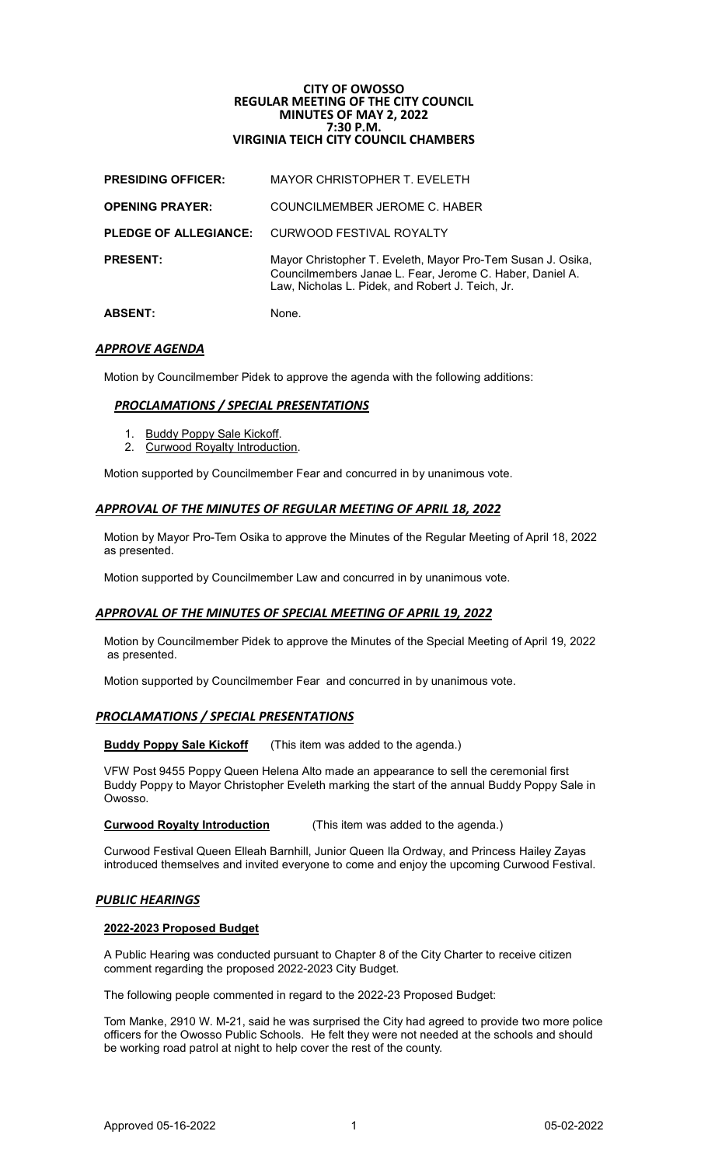# **CITY OF OWOSSO REGULAR MEETING OF THE CITY COUNCIL MINUTES OF MAY 2, 2022 7:30 P.M. VIRGINIA TEICH CITY COUNCIL CHAMBERS**

| <b>ABSENT:</b>               | None.                                                                                                                                                                       |
|------------------------------|-----------------------------------------------------------------------------------------------------------------------------------------------------------------------------|
| <b>PRESENT:</b>              | Mayor Christopher T. Eveleth, Mayor Pro-Tem Susan J. Osika,<br>Councilmembers Janae L. Fear, Jerome C. Haber, Daniel A.<br>Law, Nicholas L. Pidek, and Robert J. Teich, Jr. |
| <b>PLEDGE OF ALLEGIANCE:</b> | CURWOOD FESTIVAL ROYALTY                                                                                                                                                    |
| <b>OPENING PRAYER:</b>       | COUNCILMEMBER JEROME C. HABER                                                                                                                                               |
| <b>PRESIDING OFFICER:</b>    | <b>MAYOR CHRISTOPHER T. EVELETH</b>                                                                                                                                         |

# *APPROVE AGENDA*

Motion by Councilmember Pidek to approve the agenda with the following additions:

# *PROCLAMATIONS / SPECIAL PRESENTATIONS*

- 1. Buddy Poppy Sale Kickoff.
- 2. Curwood Royalty Introduction.

Motion supported by Councilmember Fear and concurred in by unanimous vote.

## *APPROVAL OF THE MINUTES OF REGULAR MEETING OF APRIL 18, 2022*

Motion by Mayor Pro-Tem Osika to approve the Minutes of the Regular Meeting of April 18, 2022 as presented.

Motion supported by Councilmember Law and concurred in by unanimous vote.

# *APPROVAL OF THE MINUTES OF SPECIAL MEETING OF APRIL 19, 2022*

Motion by Councilmember Pidek to approve the Minutes of the Special Meeting of April 19, 2022 as presented.

Motion supported by Councilmember Fear and concurred in by unanimous vote.

# *PROCLAMATIONS / SPECIAL PRESENTATIONS*

**Buddy Poppy Sale Kickoff** (This item was added to the agenda.)

VFW Post 9455 Poppy Queen Helena Alto made an appearance to sell the ceremonial first Buddy Poppy to Mayor Christopher Eveleth marking the start of the annual Buddy Poppy Sale in Owosso.

## **Curwood Royalty Introduction** (This item was added to the agenda.)

Curwood Festival Queen Elleah Barnhill, Junior Queen Ila Ordway, and Princess Hailey Zayas introduced themselves and invited everyone to come and enjoy the upcoming Curwood Festival.

## *PUBLIC HEARINGS*

## **2022-2023 Proposed Budget**

A Public Hearing was conducted pursuant to Chapter 8 of the City Charter to receive citizen comment regarding the proposed 2022-2023 City Budget.

The following people commented in regard to the 2022-23 Proposed Budget:

Tom Manke, 2910 W. M-21, said he was surprised the City had agreed to provide two more police officers for the Owosso Public Schools. He felt they were not needed at the schools and should be working road patrol at night to help cover the rest of the county.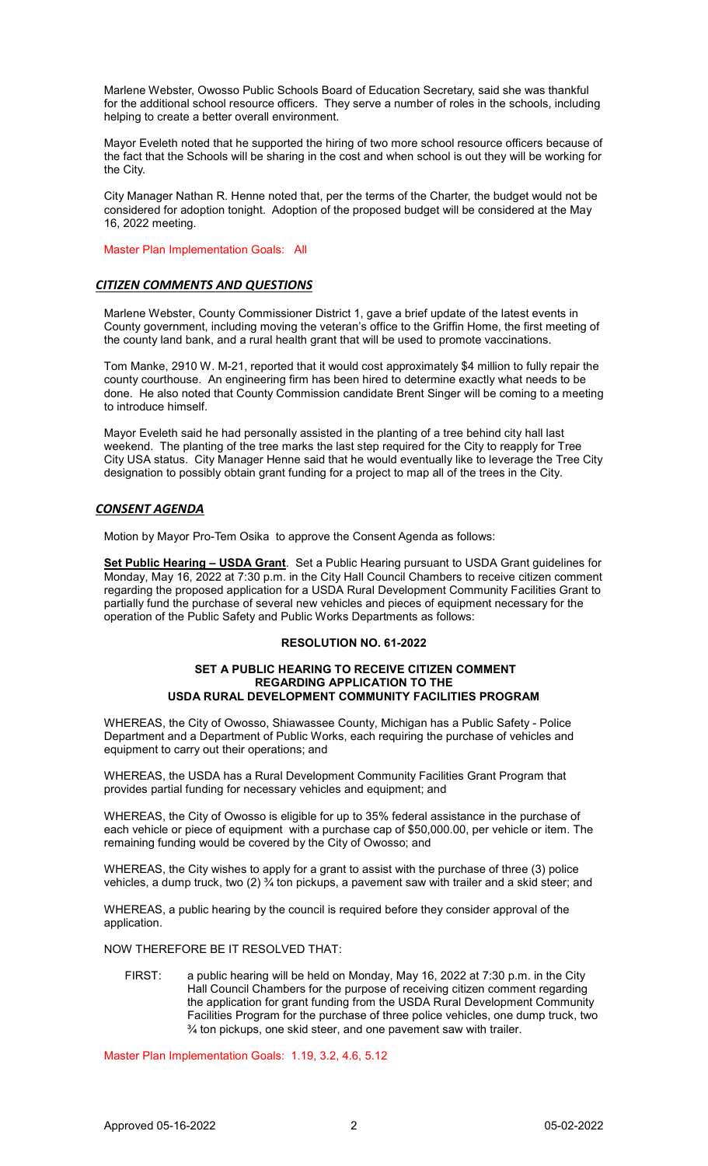Marlene Webster, Owosso Public Schools Board of Education Secretary, said she was thankful for the additional school resource officers. They serve a number of roles in the schools, including helping to create a better overall environment.

Mayor Eveleth noted that he supported the hiring of two more school resource officers because of the fact that the Schools will be sharing in the cost and when school is out they will be working for the City.

City Manager Nathan R. Henne noted that, per the terms of the Charter, the budget would not be considered for adoption tonight. Adoption of the proposed budget will be considered at the May 16, 2022 meeting.

Master Plan Implementation Goals: All

# *CITIZEN COMMENTS AND QUESTIONS*

Marlene Webster, County Commissioner District 1, gave a brief update of the latest events in County government, including moving the veteran's office to the Griffin Home, the first meeting of the county land bank, and a rural health grant that will be used to promote vaccinations.

Tom Manke, 2910 W. M-21, reported that it would cost approximately \$4 million to fully repair the county courthouse. An engineering firm has been hired to determine exactly what needs to be done. He also noted that County Commission candidate Brent Singer will be coming to a meeting to introduce himself.

Mayor Eveleth said he had personally assisted in the planting of a tree behind city hall last weekend. The planting of the tree marks the last step required for the City to reapply for Tree City USA status. City Manager Henne said that he would eventually like to leverage the Tree City designation to possibly obtain grant funding for a project to map all of the trees in the City.

# *CONSENT AGENDA*

Motion by Mayor Pro-Tem Osika to approve the Consent Agenda as follows:

**Set Public Hearing – USDA Grant**. Set a Public Hearing pursuant to USDA Grant guidelines for Monday, May 16, 2022 at 7:30 p.m. in the City Hall Council Chambers to receive citizen comment regarding the proposed application for a USDA Rural Development Community Facilities Grant to partially fund the purchase of several new vehicles and pieces of equipment necessary for the operation of the Public Safety and Public Works Departments as follows:

## **RESOLUTION NO. 61-2022**

## **SET A PUBLIC HEARING TO RECEIVE CITIZEN COMMENT REGARDING APPLICATION TO THE USDA RURAL DEVELOPMENT COMMUNITY FACILITIES PROGRAM**

WHEREAS, the City of Owosso, Shiawassee County, Michigan has a Public Safety - Police Department and a Department of Public Works, each requiring the purchase of vehicles and equipment to carry out their operations; and

WHEREAS, the USDA has a Rural Development Community Facilities Grant Program that provides partial funding for necessary vehicles and equipment; and

WHEREAS, the City of Owosso is eligible for up to 35% federal assistance in the purchase of each vehicle or piece of equipment with a purchase cap of \$50,000.00, per vehicle or item. The remaining funding would be covered by the City of Owosso; and

WHEREAS, the City wishes to apply for a grant to assist with the purchase of three (3) police vehicles, a dump truck, two (2) ¾ ton pickups, a pavement saw with trailer and a skid steer; and

WHEREAS, a public hearing by the council is required before they consider approval of the application.

NOW THEREFORE BE IT RESOLVED THAT:

FIRST: a public hearing will be held on Monday, May 16, 2022 at 7:30 p.m. in the City Hall Council Chambers for the purpose of receiving citizen comment regarding the application for grant funding from the USDA Rural Development Community Facilities Program for the purchase of three police vehicles, one dump truck, two ¾ ton pickups, one skid steer, and one pavement saw with trailer.

Master Plan Implementation Goals: 1.19, 3.2, 4.6, 5.12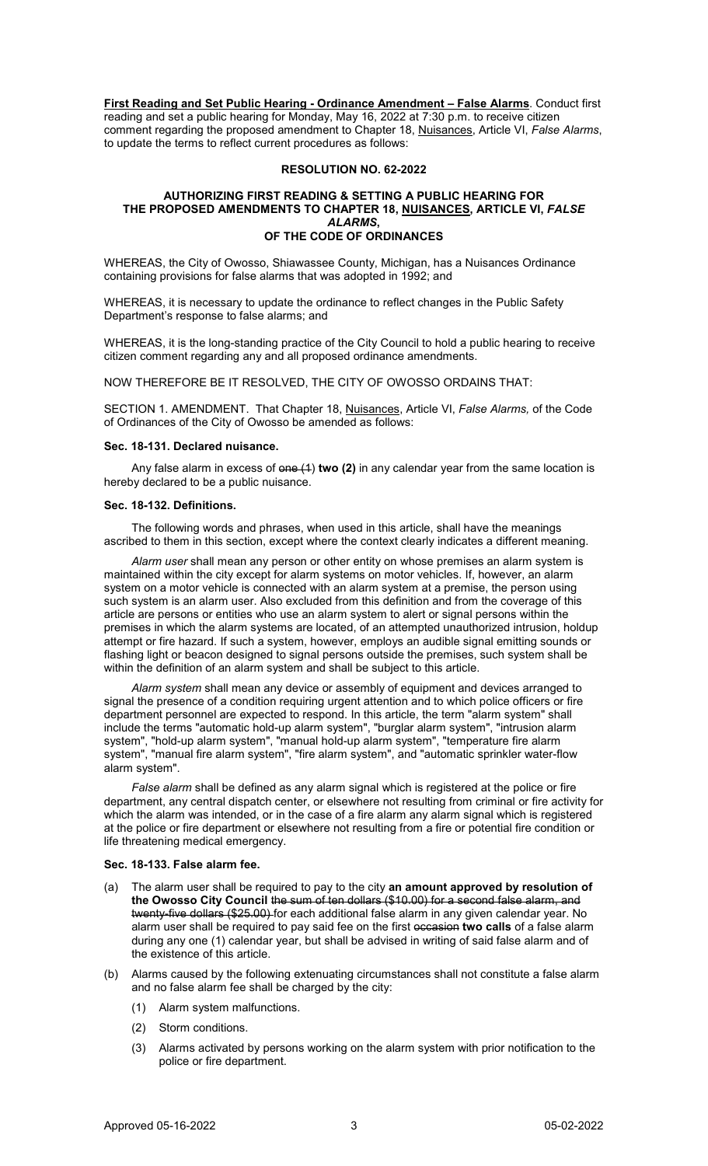**First Reading and Set Public Hearing - Ordinance Amendment – False Alarms**. Conduct first reading and set a public hearing for Monday, May 16, 2022 at 7:30 p.m. to receive citizen comment regarding the proposed amendment to Chapter 18, Nuisances, Article VI, *False Alarms*, to update the terms to reflect current procedures as follows:

#### **RESOLUTION NO. 62-2022**

#### **AUTHORIZING FIRST READING & SETTING A PUBLIC HEARING FOR THE PROPOSED AMENDMENTS TO CHAPTER 18, NUISANCES, ARTICLE VI,** *FALSE ALARMS***, OF THE CODE OF ORDINANCES**

WHEREAS, the City of Owosso, Shiawassee County, Michigan, has a Nuisances Ordinance containing provisions for false alarms that was adopted in 1992; and

WHEREAS, it is necessary to update the ordinance to reflect changes in the Public Safety Department's response to false alarms; and

WHEREAS, it is the long-standing practice of the City Council to hold a public hearing to receive citizen comment regarding any and all proposed ordinance amendments.

NOW THEREFORE BE IT RESOLVED, THE CITY OF OWOSSO ORDAINS THAT:

SECTION 1. AMENDMENT. That Chapter 18, Nuisances, Article VI, *False Alarms,* of the Code of Ordinances of the City of Owosso be amended as follows:

## **Sec. 18-131. Declared nuisance.**

Any false alarm in excess of one (1) **two (2)** in any calendar year from the same location is hereby declared to be a public nuisance.

#### **Sec. 18-132. Definitions.**

The following words and phrases, when used in this article, shall have the meanings ascribed to them in this section, except where the context clearly indicates a different meaning.

*Alarm user* shall mean any person or other entity on whose premises an alarm system is maintained within the city except for alarm systems on motor vehicles. If, however, an alarm system on a motor vehicle is connected with an alarm system at a premise, the person using such system is an alarm user. Also excluded from this definition and from the coverage of this article are persons or entities who use an alarm system to alert or signal persons within the premises in which the alarm systems are located, of an attempted unauthorized intrusion, holdup attempt or fire hazard. If such a system, however, employs an audible signal emitting sounds or flashing light or beacon designed to signal persons outside the premises, such system shall be within the definition of an alarm system and shall be subject to this article.

*Alarm system* shall mean any device or assembly of equipment and devices arranged to signal the presence of a condition requiring urgent attention and to which police officers or fire department personnel are expected to respond. In this article, the term "alarm system" shall include the terms "automatic hold-up alarm system", "burglar alarm system", "intrusion alarm system", "hold-up alarm system", "manual hold-up alarm system", "temperature fire alarm system", "manual fire alarm system", "fire alarm system", and "automatic sprinkler water-flow alarm system".

*False alarm* shall be defined as any alarm signal which is registered at the police or fire department, any central dispatch center, or elsewhere not resulting from criminal or fire activity for which the alarm was intended, or in the case of a fire alarm any alarm signal which is registered at the police or fire department or elsewhere not resulting from a fire or potential fire condition or life threatening medical emergency.

## **Sec. 18-133. False alarm fee.**

- (a) The alarm user shall be required to pay to the city **an amount approved by resolution of the Owosso City Council** the sum of ten dollars (\$10.00) for a second false alarm, and twenty-five dollars (\$25.00) for each additional false alarm in any given calendar year. No alarm user shall be required to pay said fee on the first occasion **two calls** of a false alarm during any one (1) calendar year, but shall be advised in writing of said false alarm and of the existence of this article.
- (b) Alarms caused by the following extenuating circumstances shall not constitute a false alarm and no false alarm fee shall be charged by the city:
	- (1) Alarm system malfunctions.
	- (2) Storm conditions.
	- (3) Alarms activated by persons working on the alarm system with prior notification to the police or fire department.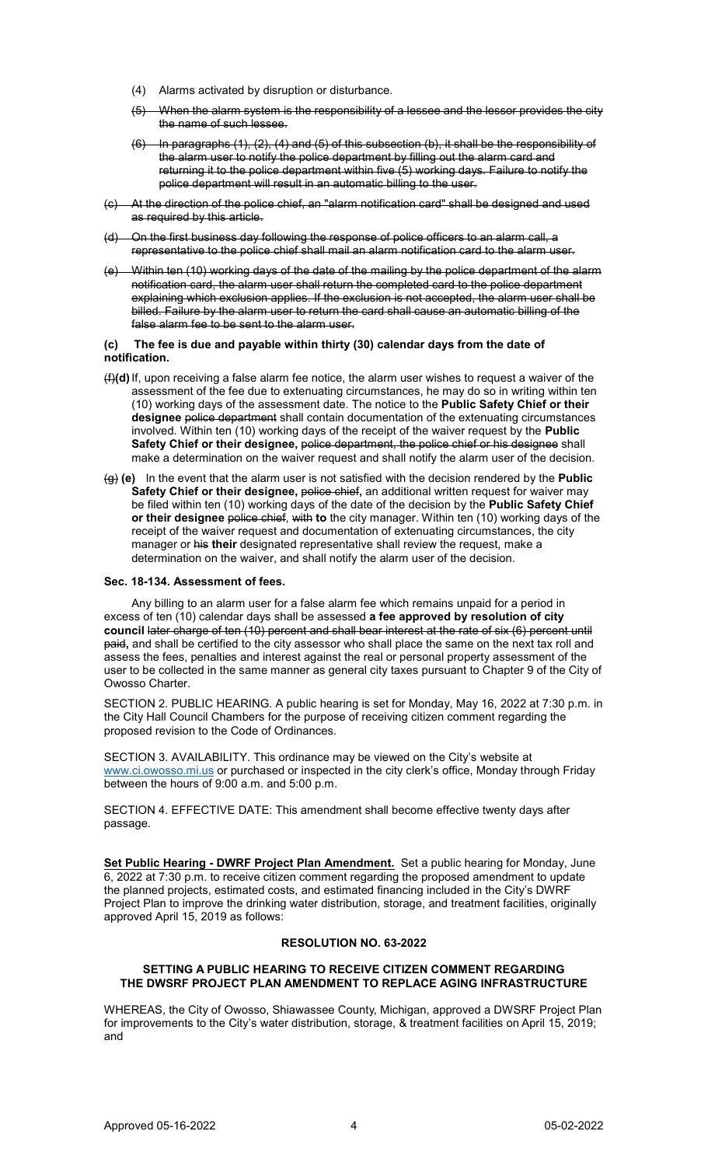- (4) Alarms activated by disruption or disturbance.
- (5) When the alarm system is the responsibility of a lessee and the lessor provides the city the name of such lessee.
- (6) In paragraphs (1), (2), (4) and (5) of this subsection (b), it shall be the responsibility of the alarm user to notify the police department by filling out the alarm card and returning it to the police department within five (5) working days. Failure to notify the police department will result in an automatic billing to the user.
- (c) At the direction of the police chief, an "alarm notification card" shall be designed and used as required by this article.
- (d) On the first business day following the response of police officers to an alarm call, a representative to the police chief shall mail an alarm notification card to the alarm user.
- (e) Within ten (10) working days of the date of the mailing by the police department of the alarm notification card, the alarm user shall return the completed card to the police department explaining which exclusion applies. If the exclusion is not accepted, the alarm user shall be billed. Failure by the alarm user to return the card shall cause an automatic billing of the false alarm fee to be sent to the alarm user.

## **(c) The fee is due and payable within thirty (30) calendar days from the date of notification.**

- (f)**(d)**If, upon receiving a false alarm fee notice, the alarm user wishes to request a waiver of the assessment of the fee due to extenuating circumstances, he may do so in writing within ten (10) working days of the assessment date. The notice to the **Public Safety Chief or their designee** police department shall contain documentation of the extenuating circumstances involved. Within ten (10) working days of the receipt of the waiver request by the **Public**  Safety Chief or their designee, police department, the police chief or his designee shall make a determination on the waiver request and shall notify the alarm user of the decision.
- (g) **(e)** In the event that the alarm user is not satisfied with the decision rendered by the **Public Safety Chief or their designee,** police chief**,** an additional written request for waiver may be filed within ten (10) working days of the date of the decision by the **Public Safety Chief or their designee** police chief, with **to** the city manager. Within ten (10) working days of the receipt of the waiver request and documentation of extenuating circumstances, the city manager or his **their** designated representative shall review the request, make a determination on the waiver, and shall notify the alarm user of the decision.

#### **Sec. 18-134. Assessment of fees.**

Any billing to an alarm user for a false alarm fee which remains unpaid for a period in excess of ten (10) calendar days shall be assessed **a fee approved by resolution of city council** later charge of ten (10) percent and shall bear interest at the rate of six (6) percent until paid**,** and shall be certified to the city assessor who shall place the same on the next tax roll and assess the fees, penalties and interest against the real or personal property assessment of the user to be collected in the same manner as general city taxes pursuant to Chapter 9 of the City of Owosso Charter.

SECTION 2. PUBLIC HEARING. A public hearing is set for Monday, May 16, 2022 at 7:30 p.m. in the City Hall Council Chambers for the purpose of receiving citizen comment regarding the proposed revision to the Code of Ordinances.

SECTION 3. AVAILABILITY. This ordinance may be viewed on the City's website at [www.ci.owosso.mi.us](http://www.ci.owosso.mi.us/) or purchased or inspected in the city clerk's office, Monday through Friday between the hours of 9:00 a.m. and 5:00 p.m.

SECTION 4. EFFECTIVE DATE: This amendment shall become effective twenty days after passage.

**Set Public Hearing - DWRF Project Plan Amendment.** Set a public hearing for Monday, June 6, 2022 at 7:30 p.m. to receive citizen comment regarding the proposed amendment to update the planned projects, estimated costs, and estimated financing included in the City's DWRF Project Plan to improve the drinking water distribution, storage, and treatment facilities, originally approved April 15, 2019 as follows:

## **RESOLUTION NO. 63-2022**

#### **SETTING A PUBLIC HEARING TO RECEIVE CITIZEN COMMENT REGARDING THE DWSRF PROJECT PLAN AMENDMENT TO REPLACE AGING INFRASTRUCTURE**

WHEREAS, the City of Owosso, Shiawassee County, Michigan, approved a DWSRF Project Plan for improvements to the City's water distribution, storage, & treatment facilities on April 15, 2019; and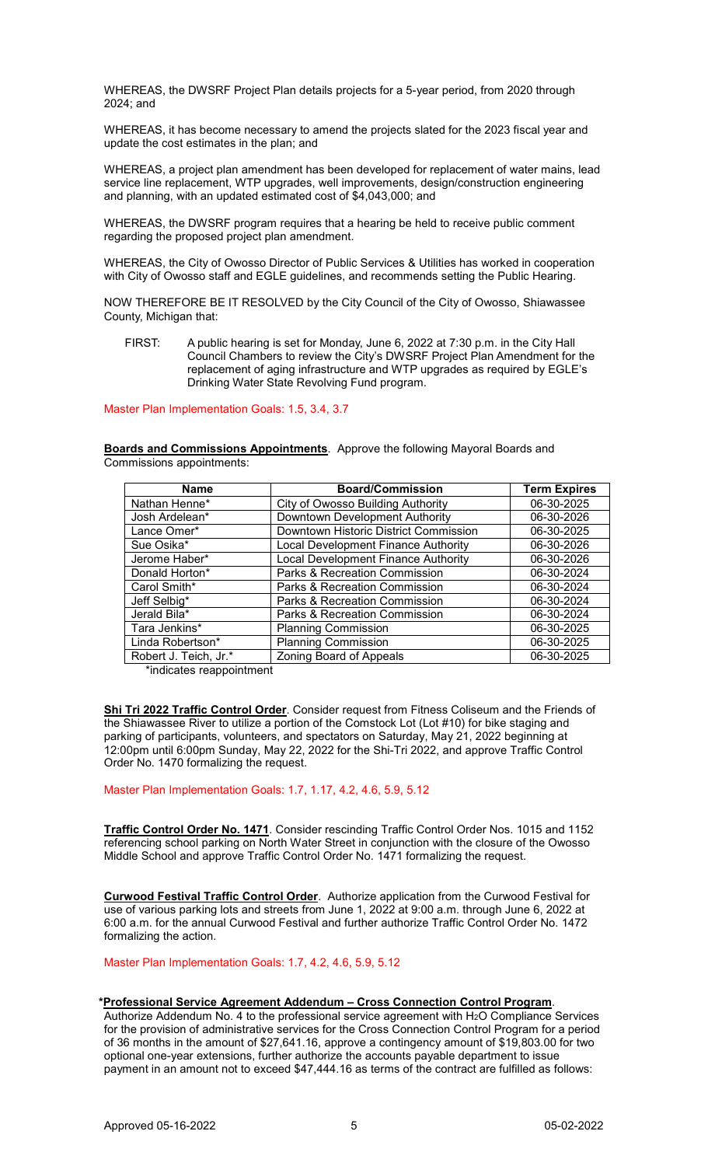WHEREAS, the DWSRF Project Plan details projects for a 5-year period, from 2020 through 2024; and

WHEREAS, it has become necessary to amend the projects slated for the 2023 fiscal year and update the cost estimates in the plan; and

WHEREAS, a project plan amendment has been developed for replacement of water mains, lead service line replacement, WTP upgrades, well improvements, design/construction engineering and planning, with an updated estimated cost of \$4,043,000; and

WHEREAS, the DWSRF program requires that a hearing be held to receive public comment regarding the proposed project plan amendment.

WHEREAS, the City of Owosso Director of Public Services & Utilities has worked in cooperation with City of Owosso staff and EGLE guidelines, and recommends setting the Public Hearing.

NOW THEREFORE BE IT RESOLVED by the City Council of the City of Owosso, Shiawassee County, Michigan that:

FIRST: A public hearing is set for Monday, June 6, 2022 at 7:30 p.m. in the City Hall Council Chambers to review the City's DWSRF Project Plan Amendment for the replacement of aging infrastructure and WTP upgrades as required by EGLE's Drinking Water State Revolving Fund program.

Master Plan Implementation Goals: 1.5, 3.4, 3.7

**Boards and Commissions Appointments**. Approve the following Mayoral Boards and Commissions appointments:

| <b>Name</b>           | <b>Board/Commission</b>               | <b>Term Expires</b> |
|-----------------------|---------------------------------------|---------------------|
| Nathan Henne*         | City of Owosso Building Authority     | 06-30-2025          |
| Josh Ardelean*        | Downtown Development Authority        | 06-30-2026          |
| Lance Omer*           | Downtown Historic District Commission | 06-30-2025          |
| Sue Osika*            | Local Development Finance Authority   | 06-30-2026          |
| Jerome Haber*         | Local Development Finance Authority   | 06-30-2026          |
| Donald Horton*        | Parks & Recreation Commission         | 06-30-2024          |
| Carol Smith*          | Parks & Recreation Commission         | 06-30-2024          |
| Jeff Selbig*          | Parks & Recreation Commission         | 06-30-2024          |
| Jerald Bila*          | Parks & Recreation Commission         | 06-30-2024          |
| Tara Jenkins*         | <b>Planning Commission</b>            | 06-30-2025          |
| Linda Robertson*      | <b>Planning Commission</b>            | 06-30-2025          |
| Robert J. Teich, Jr.* | Zoning Board of Appeals               | 06-30-2025          |

\*indicates reappointment

**Shi Tri 2022 Traffic Control Order**. Consider request from Fitness Coliseum and the Friends of the Shiawassee River to utilize a portion of the Comstock Lot (Lot #10) for bike staging and parking of participants, volunteers, and spectators on Saturday, May 21, 2022 beginning at 12:00pm until 6:00pm Sunday, May 22, 2022 for the Shi-Tri 2022, and approve Traffic Control Order No. 1470 formalizing the request.

Master Plan Implementation Goals: 1.7, 1.17, 4.2, 4.6, 5.9, 5.12

**Traffic Control Order No. 1471**. Consider rescinding Traffic Control Order Nos. 1015 and 1152 referencing school parking on North Water Street in conjunction with the closure of the Owosso Middle School and approve Traffic Control Order No. 1471 formalizing the request.

**Curwood Festival Traffic Control Order**. Authorize application from the Curwood Festival for use of various parking lots and streets from June 1, 2022 at 9:00 a.m. through June 6, 2022 at 6:00 a.m. for the annual Curwood Festival and further authorize Traffic Control Order No. 1472 formalizing the action.

Master Plan Implementation Goals: 1.7, 4.2, 4.6, 5.9, 5.12

## **\*Professional Service Agreement Addendum – Cross Connection Control Program**.

Authorize Addendum No. 4 to the professional service agreement with  $H_2O$  Compliance Services for the provision of administrative services for the Cross Connection Control Program for a period of 36 months in the amount of \$27,641.16, approve a contingency amount of \$19,803.00 for two optional one-year extensions, further authorize the accounts payable department to issue payment in an amount not to exceed \$47,444.16 as terms of the contract are fulfilled as follows: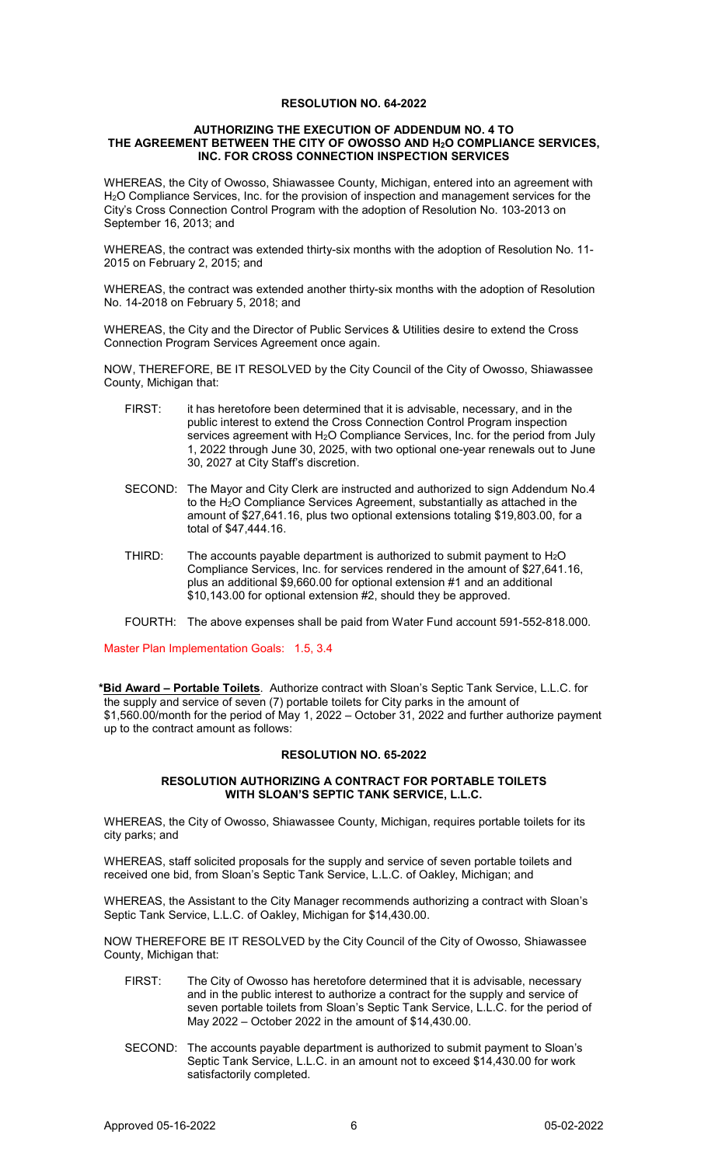## **RESOLUTION NO. 64-2022**

## **AUTHORIZING THE EXECUTION OF ADDENDUM NO. 4 TO THE AGREEMENT BETWEEN THE CITY OF OWOSSO AND H2O COMPLIANCE SERVICES, INC. FOR CROSS CONNECTION INSPECTION SERVICES**

WHEREAS, the City of Owosso, Shiawassee County, Michigan, entered into an agreement with H<sub>2</sub>O Compliance Services, Inc. for the provision of inspection and management services for the City's Cross Connection Control Program with the adoption of Resolution No. 103-2013 on September 16, 2013; and

WHEREAS, the contract was extended thirty-six months with the adoption of Resolution No. 11- 2015 on February 2, 2015; and

WHEREAS, the contract was extended another thirty-six months with the adoption of Resolution No. 14-2018 on February 5, 2018; and

WHEREAS, the City and the Director of Public Services & Utilities desire to extend the Cross Connection Program Services Agreement once again.

NOW, THEREFORE, BE IT RESOLVED by the City Council of the City of Owosso, Shiawassee County, Michigan that:

- FIRST: it has heretofore been determined that it is advisable, necessary, and in the public interest to extend the Cross Connection Control Program inspection services agreement with H<sub>2</sub>O Compliance Services, Inc. for the period from July 1, 2022 through June 30, 2025, with two optional one-year renewals out to June 30, 2027 at City Staff's discretion.
- SECOND: The Mayor and City Clerk are instructed and authorized to sign Addendum No.4 to the H<sub>2</sub>O Compliance Services Agreement, substantially as attached in the amount of \$27,641.16, plus two optional extensions totaling \$19,803.00, for a total of \$47,444.16.
- THIRD: The accounts payable department is authorized to submit payment to  $H_2O$ Compliance Services, Inc. for services rendered in the amount of \$27,641.16, plus an additional \$9,660.00 for optional extension #1 and an additional \$10,143.00 for optional extension #2, should they be approved.
- FOURTH: The above expenses shall be paid from Water Fund account 591-552-818.000.

Master Plan Implementation Goals: 1.5, 3.4

**\*Bid Award – Portable Toilets**. Authorize contract with Sloan's Septic Tank Service, L.L.C. for the supply and service of seven (7) portable toilets for City parks in the amount of \$1,560.00/month for the period of May 1, 2022 – October 31, 2022 and further authorize payment up to the contract amount as follows:

## **RESOLUTION NO. 65-2022**

## **RESOLUTION AUTHORIZING A CONTRACT FOR PORTABLE TOILETS WITH SLOAN'S SEPTIC TANK SERVICE, L.L.C.**

WHEREAS, the City of Owosso, Shiawassee County, Michigan, requires portable toilets for its city parks; and

WHEREAS, staff solicited proposals for the supply and service of seven portable toilets and received one bid, from Sloan's Septic Tank Service, L.L.C. of Oakley, Michigan; and

WHEREAS, the Assistant to the City Manager recommends authorizing a contract with Sloan's Septic Tank Service, L.L.C. of Oakley, Michigan for \$14,430.00.

NOW THEREFORE BE IT RESOLVED by the City Council of the City of Owosso, Shiawassee County, Michigan that:

- FIRST: The City of Owosso has heretofore determined that it is advisable, necessary and in the public interest to authorize a contract for the supply and service of seven portable toilets from Sloan's Septic Tank Service, L.L.C. for the period of May 2022 – October 2022 in the amount of \$14,430.00.
- SECOND: The accounts payable department is authorized to submit payment to Sloan's Septic Tank Service, L.L.C. in an amount not to exceed \$14,430.00 for work satisfactorily completed.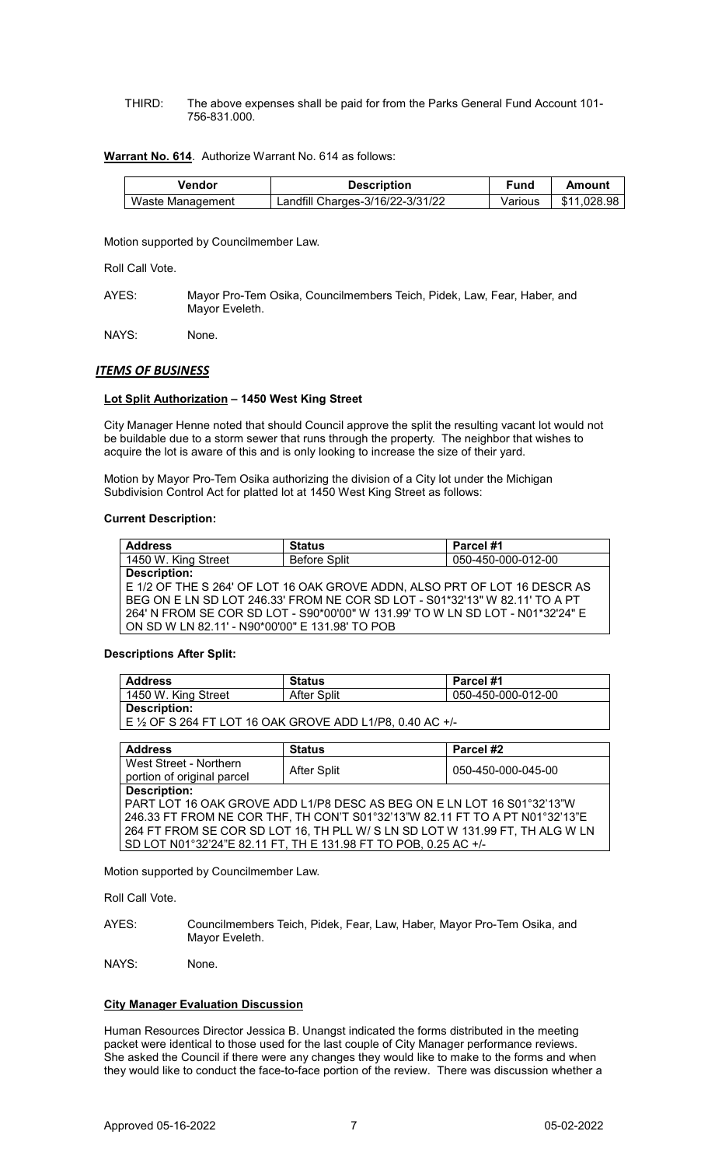THIRD: The above expenses shall be paid for from the Parks General Fund Account 101- 756-831.000.

## **Warrant No. 614**. Authorize Warrant No. 614 as follows:

| Vendor           | <b>Description</b>               | Fund    | Amount      |
|------------------|----------------------------------|---------|-------------|
| Waste Management | Landfill Charges-3/16/22-3/31/22 | Various | \$11.028.98 |

Motion supported by Councilmember Law.

Roll Call Vote.

AYES: Mayor Pro-Tem Osika, Councilmembers Teich, Pidek, Law, Fear, Haber, and Mayor Eveleth.

NAYS: None.

# *ITEMS OF BUSINESS*

# **Lot Split Authorization – 1450 West King Street**

City Manager Henne noted that should Council approve the split the resulting vacant lot would not be buildable due to a storm sewer that runs through the property. The neighbor that wishes to acquire the lot is aware of this and is only looking to increase the size of their yard.

Motion by Mayor Pro-Tem Osika authorizing the division of a City lot under the Michigan Subdivision Control Act for platted lot at 1450 West King Street as follows:

## **Current Description:**

| <b>Address</b>                                                                 | <b>Status</b>                                                               | Parcel #1          |
|--------------------------------------------------------------------------------|-----------------------------------------------------------------------------|--------------------|
| 1450 W. King Street                                                            | <b>Before Split</b>                                                         | 050-450-000-012-00 |
| <b>Description:</b>                                                            |                                                                             |                    |
|                                                                                | E 1/2 OF THE S 264' OF LOT 16 OAK GROVE ADDN, ALSO PRT OF LOT 16 DESCR AS   |                    |
|                                                                                | BEG ON E LN SD LOT 246.33' FROM NE COR SD LOT - S01*32'13" W 82.11' TO A PT |                    |
| 264' N FROM SE COR SD LOT - S90*00'00" W 131.99' TO W LN SD LOT - N01*32'24" E |                                                                             |                    |
| ON SD W LN 82.11' - N90*00'00" E 131.98' TO POB                                |                                                                             |                    |
|                                                                                |                                                                             |                    |

# **Descriptions After Split:**

| <b>Address</b>                                            | Status      | Parcel #1          |
|-----------------------------------------------------------|-------------|--------------------|
| 1450 W. King Street                                       | After Split | 050-450-000-012-00 |
| Description:                                              |             |                    |
| E 1/2 OF S 264 FT LOT 16 OAK GROVE ADD L1/P8, 0.40 AC +/- |             |                    |

| <b>Address</b>                                                               | <b>Status</b> | Parcel #2          |
|------------------------------------------------------------------------------|---------------|--------------------|
| West Street - Northern                                                       | After Split   | 050-450-000-045-00 |
| portion of original parcel                                                   |               |                    |
| <b>Description:</b>                                                          |               |                    |
| PART LOT 16 OAK GROVE ADD L1/P8 DESC AS BEG ON E LN LOT 16 S01°32'13"W       |               |                    |
| 246.33 FT FROM NE COR THF, TH CON'T S01°32'13"W 82.11 FT TO A PT N01°32'13"E |               |                    |
| 264 FT FROM SE COR SD LOT 16, TH PLL W/ S LN SD LOT W 131.99 FT, TH ALG W LN |               |                    |
| SD LOT N01°32'24"E 82.11 FT, TH E 131.98 FT TO POB, 0.25 AC +/-              |               |                    |
|                                                                              |               |                    |

Motion supported by Councilmember Law.

Roll Call Vote.

AYES: Councilmembers Teich, Pidek, Fear, Law, Haber, Mayor Pro-Tem Osika, and Mayor Eveleth.

NAYS: None.

# **City Manager Evaluation Discussion**

Human Resources Director Jessica B. Unangst indicated the forms distributed in the meeting packet were identical to those used for the last couple of City Manager performance reviews. She asked the Council if there were any changes they would like to make to the forms and when they would like to conduct the face-to-face portion of the review. There was discussion whether a